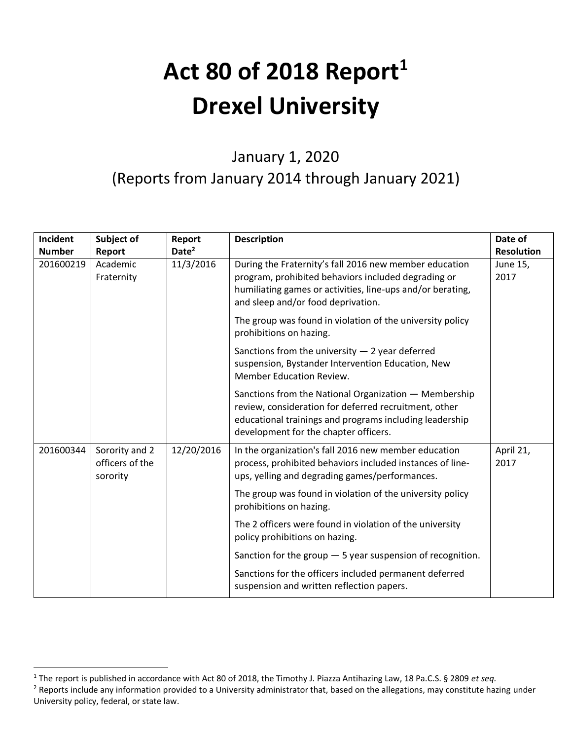## **Act 80 of 2018 Report<sup>1</sup> Drexel University**

## January 1, 2020 (Reports from January 2014 through January 2021)

| Incident      | Subject of                                    | Report            | <b>Description</b>                                                                                                                                                                                                 | Date of           |
|---------------|-----------------------------------------------|-------------------|--------------------------------------------------------------------------------------------------------------------------------------------------------------------------------------------------------------------|-------------------|
| <b>Number</b> | Report                                        | Date <sup>2</sup> |                                                                                                                                                                                                                    | <b>Resolution</b> |
| 201600219     | Academic<br>Fraternity                        | 11/3/2016         | During the Fraternity's fall 2016 new member education<br>program, prohibited behaviors included degrading or<br>humiliating games or activities, line-ups and/or berating,<br>and sleep and/or food deprivation.  | June 15,<br>2017  |
|               |                                               |                   | The group was found in violation of the university policy<br>prohibitions on hazing.                                                                                                                               |                   |
|               |                                               |                   | Sanctions from the university $-2$ year deferred<br>suspension, Bystander Intervention Education, New<br><b>Member Education Review.</b>                                                                           |                   |
|               |                                               |                   | Sanctions from the National Organization - Membership<br>review, consideration for deferred recruitment, other<br>educational trainings and programs including leadership<br>development for the chapter officers. |                   |
| 201600344     | Sorority and 2<br>officers of the<br>sorority | 12/20/2016        | In the organization's fall 2016 new member education<br>process, prohibited behaviors included instances of line-<br>ups, yelling and degrading games/performances.                                                | April 21,<br>2017 |
|               |                                               |                   | The group was found in violation of the university policy<br>prohibitions on hazing.                                                                                                                               |                   |
|               |                                               |                   | The 2 officers were found in violation of the university<br>policy prohibitions on hazing.                                                                                                                         |                   |
|               |                                               |                   | Sanction for the group $-5$ year suspension of recognition.                                                                                                                                                        |                   |
|               |                                               |                   | Sanctions for the officers included permanent deferred<br>suspension and written reflection papers.                                                                                                                |                   |

<sup>1</sup> The report is published in accordance with Act 80 of 2018, the Timothy J. Piazza Antihazing Law, 18 Pa.C.S. § 2809 *et seq.* <sup>2</sup> Reports include any information provided to a University administrator that, based on the allegations, may constitute hazing under University policy, federal, or state law.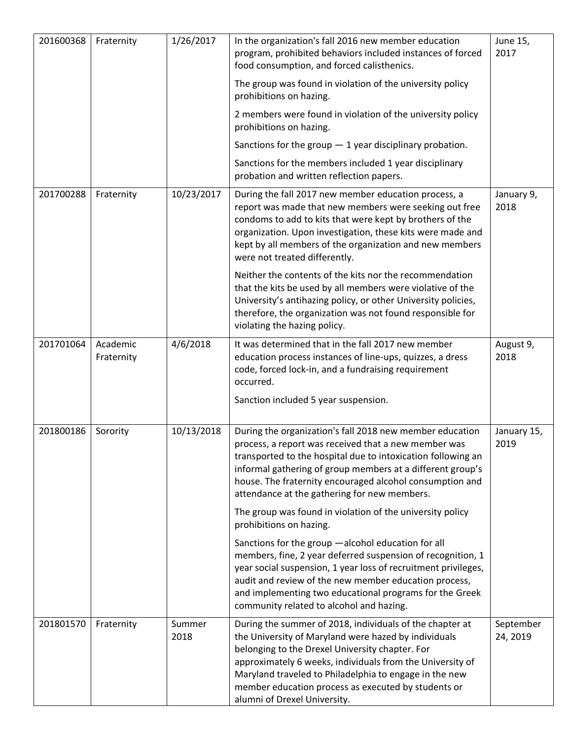| 201600368 | Fraternity             | 1/26/2017      | In the organization's fall 2016 new member education<br>program, prohibited behaviors included instances of forced<br>food consumption, and forced calisthenics.                                                                                                                                                                                                                  | June 15,<br>2017      |
|-----------|------------------------|----------------|-----------------------------------------------------------------------------------------------------------------------------------------------------------------------------------------------------------------------------------------------------------------------------------------------------------------------------------------------------------------------------------|-----------------------|
|           |                        |                | The group was found in violation of the university policy<br>prohibitions on hazing.                                                                                                                                                                                                                                                                                              |                       |
|           |                        |                | 2 members were found in violation of the university policy<br>prohibitions on hazing.                                                                                                                                                                                                                                                                                             |                       |
|           |                        |                | Sanctions for the group $-1$ year disciplinary probation.                                                                                                                                                                                                                                                                                                                         |                       |
|           |                        |                | Sanctions for the members included 1 year disciplinary<br>probation and written reflection papers.                                                                                                                                                                                                                                                                                |                       |
| 201700288 | Fraternity             | 10/23/2017     | During the fall 2017 new member education process, a<br>report was made that new members were seeking out free<br>condoms to add to kits that were kept by brothers of the<br>organization. Upon investigation, these kits were made and<br>kept by all members of the organization and new members<br>were not treated differently.                                              | January 9,<br>2018    |
|           |                        |                | Neither the contents of the kits nor the recommendation<br>that the kits be used by all members were violative of the<br>University's antihazing policy, or other University policies,<br>therefore, the organization was not found responsible for<br>violating the hazing policy.                                                                                               |                       |
| 201701064 | Academic<br>Fraternity | 4/6/2018       | It was determined that in the fall 2017 new member<br>education process instances of line-ups, quizzes, a dress<br>code, forced lock-in, and a fundraising requirement<br>occurred.                                                                                                                                                                                               | August 9,<br>2018     |
|           |                        |                | Sanction included 5 year suspension.                                                                                                                                                                                                                                                                                                                                              |                       |
| 201800186 | Sorority               | 10/13/2018     | During the organization's fall 2018 new member education<br>process, a report was received that a new member was<br>transported to the hospital due to intoxication following an<br>informal gathering of group members at a different group's<br>house. The fraternity encouraged alcohol consumption and<br>attendance at the gathering for new members.                        | January 15,<br>2019   |
|           |                        |                | The group was found in violation of the university policy<br>prohibitions on hazing.                                                                                                                                                                                                                                                                                              |                       |
|           |                        |                | Sanctions for the group -alcohol education for all<br>members, fine, 2 year deferred suspension of recognition, 1<br>year social suspension, 1 year loss of recruitment privileges,<br>audit and review of the new member education process,<br>and implementing two educational programs for the Greek<br>community related to alcohol and hazing.                               |                       |
| 201801570 | Fraternity             | Summer<br>2018 | During the summer of 2018, individuals of the chapter at<br>the University of Maryland were hazed by individuals<br>belonging to the Drexel University chapter. For<br>approximately 6 weeks, individuals from the University of<br>Maryland traveled to Philadelphia to engage in the new<br>member education process as executed by students or<br>alumni of Drexel University. | September<br>24, 2019 |